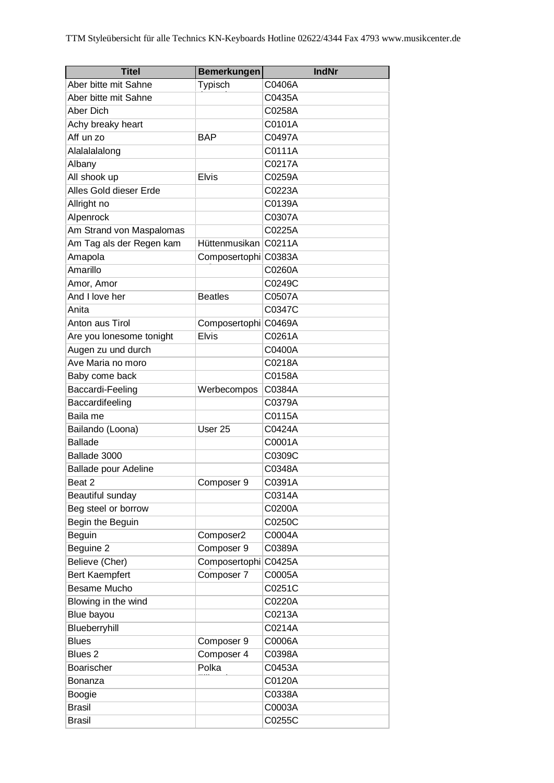| <b>Titel</b>                | <b>Bemerkungen</b>   | <b>IndNr</b> |
|-----------------------------|----------------------|--------------|
| Aber bitte mit Sahne        | Typisch              | C0406A       |
| Aber bitte mit Sahne        |                      | C0435A       |
| Aber Dich                   |                      | C0258A       |
| Achy breaky heart           |                      | C0101A       |
| Aff un zo                   | <b>BAP</b>           | C0497A       |
| Alalalalong                 |                      | C0111A       |
| Albany                      |                      | C0217A       |
| All shook up                | <b>Elvis</b>         | C0259A       |
| Alles Gold dieser Erde      |                      | C0223A       |
| Allright no                 |                      | C0139A       |
| Alpenrock                   |                      | C0307A       |
| Am Strand von Maspalomas    |                      | C0225A       |
| Am Tag als der Regen kam    | Hüttenmusikan        | C0211A       |
| Amapola                     | Composertophi C0383A |              |
| Amarillo                    |                      | C0260A       |
| Amor, Amor                  |                      | C0249C       |
| And I love her              | <b>Beatles</b>       | C0507A       |
| Anita                       |                      | C0347C       |
| Anton aus Tirol             | Composertophi C0469A |              |
| Are you lonesome tonight    | <b>Elvis</b>         | C0261A       |
| Augen zu und durch          |                      | C0400A       |
| Ave Maria no moro           |                      | C0218A       |
| Baby come back              |                      | C0158A       |
| Baccardi-Feeling            | Werbecompos          | C0384A       |
| Baccardifeeling             |                      | C0379A       |
| Baila me                    |                      | C0115A       |
| Bailando (Loona)            | User 25              | C0424A       |
| <b>Ballade</b>              |                      | C0001A       |
| Ballade 3000                |                      | C0309C       |
| <b>Ballade pour Adeline</b> |                      | C0348A       |
| Beat 2                      | Composer 9           | C0391A       |
| Beautiful sunday            |                      | C0314A       |
| Beg steel or borrow         |                      | C0200A       |
| Begin the Beguin            |                      | C0250C       |
| Beguin                      | Composer2            | C0004A       |
| Beguine 2                   | Composer 9           | C0389A       |
| Believe (Cher)              | Composertophi        | C0425A       |
| Bert Kaempfert              | Composer 7           | C0005A       |
| Besame Mucho                |                      | C0251C       |
| Blowing in the wind         |                      | C0220A       |
| Blue bayou                  |                      | C0213A       |
| Blueberryhill               |                      | C0214A       |
| <b>Blues</b>                | Composer 9           | C0006A       |
| Blues <sub>2</sub>          | Composer 4           | C0398A       |
| Boarischer                  | Polka                | C0453A       |
| Bonanza                     |                      | C0120A       |
| Boogie                      |                      | C0338A       |
| <b>Brasil</b>               |                      | C0003A       |
| <b>Brasil</b>               |                      | C0255C       |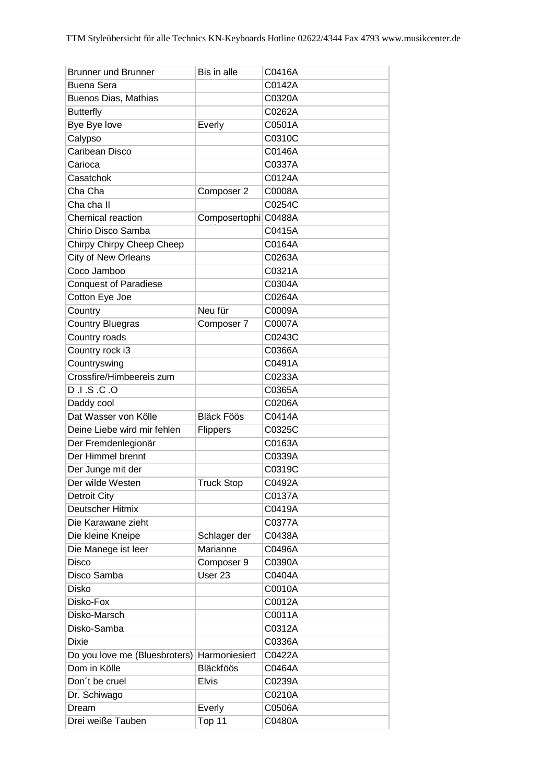| <b>Brunner und Brunner</b>    | Bis in alle          | C0416A |
|-------------------------------|----------------------|--------|
| <b>Buena Sera</b>             |                      | C0142A |
| Buenos Dias, Mathias          |                      | C0320A |
| <b>Butterfly</b>              |                      | C0262A |
| Bye Bye love                  | Everly               | C0501A |
| Calypso                       |                      | C0310C |
| Caribean Disco                |                      | C0146A |
| Carioca                       |                      | C0337A |
| Casatchok                     |                      | C0124A |
| Cha Cha                       | Composer 2           | C0008A |
| Cha cha II                    |                      | C0254C |
| Chemical reaction             | Composertophi C0488A |        |
| Chirio Disco Samba            |                      | C0415A |
| Chirpy Chirpy Cheep Cheep     |                      | C0164A |
| City of New Orleans           |                      | C0263A |
| Coco Jamboo                   |                      | C0321A |
| <b>Conquest of Paradiese</b>  |                      | C0304A |
| Cotton Eye Joe                |                      | C0264A |
| Country                       | Neu für              | C0009A |
| <b>Country Bluegras</b>       | Composer 7           | C0007A |
| Country roads                 |                      | C0243C |
| Country rock i3               |                      | C0366A |
| Countryswing                  |                      | C0491A |
| Crossfire/Himbeereis zum      |                      | C0233A |
| D.I.S.C.O                     |                      | C0365A |
| Daddy cool                    |                      | C0206A |
| Dat Wasser von Kölle          | <b>Bläck Föös</b>    | C0414A |
| Deine Liebe wird mir fehlen   | Flippers             | C0325C |
| Der Fremdenlegionär           |                      | C0163A |
| Der Himmel brennt             |                      | C0339A |
| Der Junge mit der             |                      | C0319C |
| Der wilde Westen              | <b>Truck Stop</b>    | C0492A |
| <b>Detroit City</b>           |                      | C0137A |
| Deutscher Hitmix              |                      | C0419A |
| Die Karawane zieht            |                      | C0377A |
| Die kleine Kneipe             | Schlager der         | C0438A |
| Die Manege ist leer           | Marianne             | C0496A |
| Disco                         | Composer 9           | C0390A |
| Disco Samba                   | User <sub>23</sub>   | C0404A |
| <b>Disko</b>                  |                      | C0010A |
| Disko-Fox                     |                      | C0012A |
| Disko-Marsch                  |                      | C0011A |
| Disko-Samba                   |                      | C0312A |
| <b>Dixie</b>                  |                      | C0336A |
| Do you love me (Bluesbroters) | Harmoniesiert        | C0422A |
| Dom in Kölle                  | Bläckföös            | C0464A |
| Don't be cruel                | <b>Elvis</b>         | C0239A |
| Dr. Schiwago                  |                      | C0210A |
| Dream                         | Everly               | C0506A |
| Drei weiße Tauben             | Top 11               | C0480A |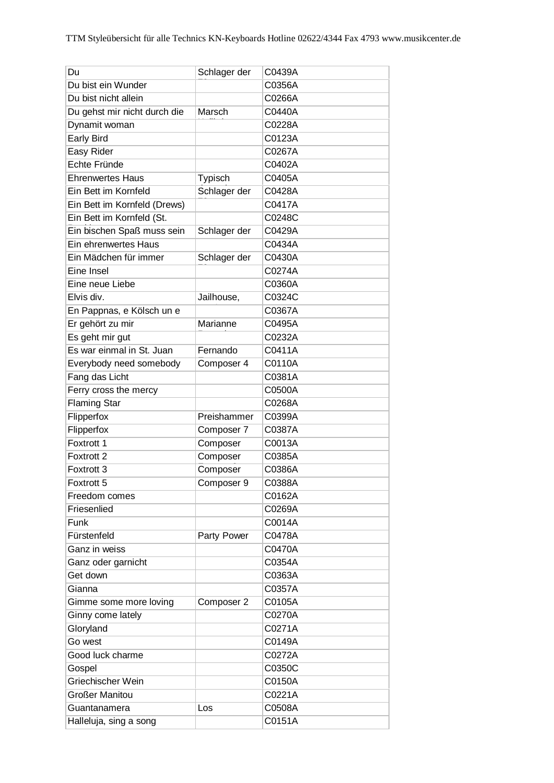| Du                           | Schlager der | C0439A |
|------------------------------|--------------|--------|
| Du bist ein Wunder           |              | C0356A |
| Du bist nicht allein         |              | C0266A |
| Du gehst mir nicht durch die | Marsch       | C0440A |
| Dynamit woman                |              | C0228A |
| Early Bird                   |              | C0123A |
| Easy Rider                   |              | C0267A |
| Echte Fründe                 |              | C0402A |
| <b>Ehrenwertes Haus</b>      | Typisch      | C0405A |
| Ein Bett im Kornfeld         | Schlager der | C0428A |
| Ein Bett im Kornfeld (Drews) |              | C0417A |
| Ein Bett im Kornfeld (St.    |              | C0248C |
| Ein bischen Spaß muss sein   | Schlager der | C0429A |
| Ein ehrenwertes Haus         |              | C0434A |
| Ein Mädchen für immer        | Schlager der | C0430A |
| Eine Insel                   |              | C0274A |
| Eine neue Liebe              |              | C0360A |
| Elvis div.                   | Jailhouse,   | C0324C |
| En Pappnas, e Kölsch un e    |              | C0367A |
| Er gehört zu mir             | Marianne     | C0495A |
| Es geht mir gut              |              | C0232A |
| Es war einmal in St. Juan    | Fernando     | C0411A |
| Everybody need somebody      | Composer 4   | C0110A |
| Fang das Licht               |              | C0381A |
| Ferry cross the mercy        |              | C0500A |
| <b>Flaming Star</b>          |              | C0268A |
| Flipperfox                   | Preishammer  | C0399A |
| Flipperfox                   | Composer 7   | C0387A |
| Foxtrott 1                   | Composer     | C0013A |
| Foxtrott 2                   | Composer     | C0385A |
| Foxtrott <sub>3</sub>        | Composer     | C0386A |
| Foxtrott 5                   | Composer 9   | C0388A |
| Freedom comes                |              | C0162A |
| Friesenlied                  |              | C0269A |
| Funk                         |              | C0014A |
| Fürstenfeld                  | Party Power  | C0478A |
| Ganz in weiss                |              | C0470A |
| Ganz oder garnicht           |              | C0354A |
| Get down                     |              | C0363A |
| Gianna                       |              | C0357A |
| Gimme some more loving       | Composer 2   | C0105A |
| Ginny come lately            |              | C0270A |
| Gloryland                    |              | C0271A |
| Go west                      |              | C0149A |
| Good luck charme             |              | C0272A |
| Gospel                       |              | C0350C |
| Griechischer Wein            |              | C0150A |
| <b>Großer Manitou</b>        |              | C0221A |
| Guantanamera                 | Los          | C0508A |
| Halleluja, sing a song       |              | C0151A |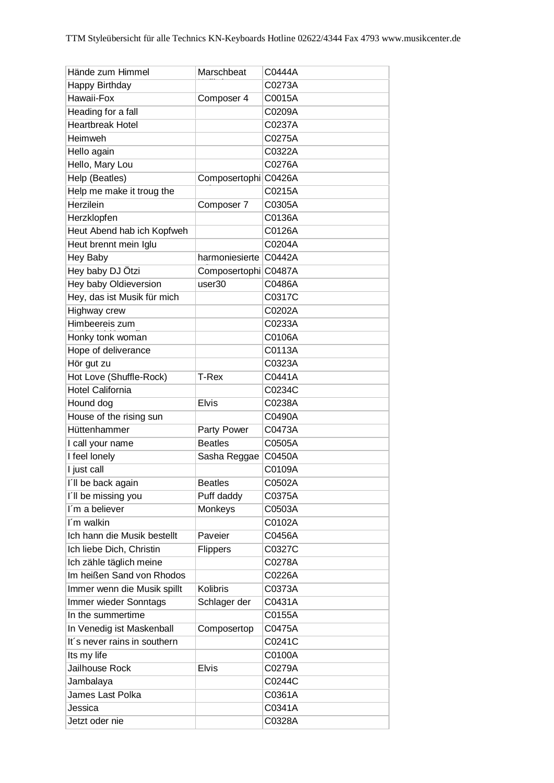| Hände zum Himmel             | Marschbeat           | C0444A |
|------------------------------|----------------------|--------|
| Happy Birthday               |                      | C0273A |
| Hawaii-Fox                   | Composer 4           | C0015A |
| Heading for a fall           |                      | C0209A |
| <b>Heartbreak Hotel</b>      |                      | C0237A |
| Heimweh                      |                      | C0275A |
| Hello again                  |                      | C0322A |
| Hello, Mary Lou              |                      | C0276A |
| Help (Beatles)               | Composertophi C0426A |        |
| Help me make it troug the    |                      | C0215A |
| Herzilein                    | Composer 7           | C0305A |
| Herzklopfen                  |                      | C0136A |
| Heut Abend hab ich Kopfweh   |                      | C0126A |
| Heut brennt mein Iglu        |                      | C0204A |
| Hey Baby                     | harmoniesierte       | C0442A |
| Hey baby DJ Ötzi             | Composertophi C0487A |        |
| Hey baby Oldieversion        | user30               | C0486A |
| Hey, das ist Musik für mich  |                      | C0317C |
| Highway crew                 |                      | C0202A |
| Himbeereis zum               |                      | C0233A |
| Honky tonk woman             |                      | C0106A |
| Hope of deliverance          |                      | C0113A |
| Hör gut zu                   |                      | C0323A |
| Hot Love (Shuffle-Rock)      | <b>T-Rex</b>         | C0441A |
| <b>Hotel California</b>      |                      | C0234C |
| Hound dog                    | <b>Elvis</b>         | C0238A |
| House of the rising sun      |                      | C0490A |
| Hüttenhammer                 | Party Power          | C0473A |
| I call your name             | <b>Beatles</b>       | C0505A |
| I feel lonely                | Sasha Reggae         | C0450A |
| I just call                  |                      | C0109A |
| I'll be back again           | <b>Beatles</b>       | C0502A |
| I'll be missing you          | Puff daddy           | C0375A |
| I'm a believer               | Monkeys              | C0503A |
| I'm walkin                   |                      | C0102A |
| Ich hann die Musik bestellt  | Paveier              | C0456A |
| Ich liebe Dich, Christin     | Flippers             | C0327C |
| Ich zähle täglich meine      |                      | C0278A |
| Im heißen Sand von Rhodos    |                      | C0226A |
| Immer wenn die Musik spillt  | <b>Kolibris</b>      | C0373A |
| Immer wieder Sonntags        | Schlager der         | C0431A |
| In the summertime            |                      | C0155A |
| In Venedig ist Maskenball    | Composertop          | C0475A |
| It's never rains in southern |                      | C0241C |
| Its my life                  |                      | C0100A |
| Jailhouse Rock               | <b>Elvis</b>         | C0279A |
| Jambalaya                    |                      | C0244C |
| James Last Polka             |                      | C0361A |
| Jessica                      |                      | C0341A |
| Jetzt oder nie               |                      | C0328A |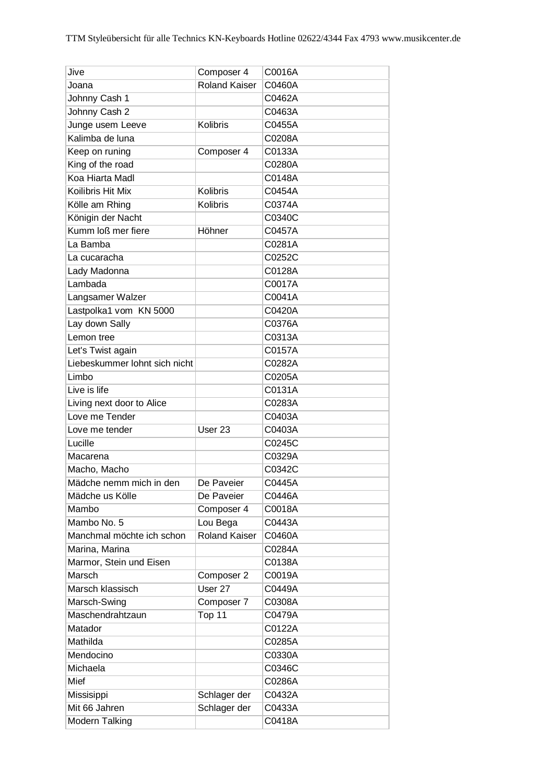| Jive                          | Composer 4           | C0016A |
|-------------------------------|----------------------|--------|
| Joana                         | <b>Roland Kaiser</b> | C0460A |
| Johnny Cash 1                 |                      | C0462A |
| Johnny Cash 2                 |                      | C0463A |
| Junge usem Leeve              | <b>Kolibris</b>      | C0455A |
| Kalimba de luna               |                      | C0208A |
| Keep on runing                | Composer 4           | C0133A |
| King of the road              |                      | C0280A |
| Koa Hiarta Madl               |                      | C0148A |
| Koilibris Hit Mix             | Kolibris             | C0454A |
| Kölle am Rhing                | Kolibris             | C0374A |
| Königin der Nacht             |                      | C0340C |
| Kumm loß mer fiere            | Höhner               | C0457A |
| La Bamba                      |                      | C0281A |
| La cucaracha                  |                      | C0252C |
| Lady Madonna                  |                      | C0128A |
| Lambada                       |                      | C0017A |
| Langsamer Walzer              |                      | C0041A |
| Lastpolka1 vom KN 5000        |                      | C0420A |
| Lay down Sally                |                      | C0376A |
| Lemon tree                    |                      | C0313A |
| Let's Twist again             |                      | C0157A |
| Liebeskummer lohnt sich nicht |                      | C0282A |
| Limbo                         |                      | C0205A |
| Live is life                  |                      | C0131A |
| Living next door to Alice     |                      | C0283A |
| Love me Tender                |                      | C0403A |
| Love me tender                | User <sub>23</sub>   | C0403A |
| Lucille                       |                      | C0245C |
| Macarena                      |                      | C0329A |
| Macho, Macho                  |                      | C0342C |
| Mädche nemm mich in den       | De Paveier           | C0445A |
| Mädche us Kölle               | De Paveier           | C0446A |
| Mambo                         | Composer 4           | C0018A |
| Mambo No. 5                   |                      | C0443A |
|                               | Lou Bega             |        |
| Manchmal möchte ich schon     | <b>Roland Kaiser</b> | C0460A |
| Marina, Marina                |                      | C0284A |
| Marmor, Stein und Eisen       |                      | C0138A |
| Marsch                        | Composer 2           | C0019A |
| Marsch klassisch              | User 27              | C0449A |
| Marsch-Swing                  | Composer 7           | C0308A |
| Maschendrahtzaun              | Top 11               | C0479A |
| Matador                       |                      | C0122A |
| Mathilda                      |                      | C0285A |
| Mendocino                     |                      | C0330A |
| Michaela                      |                      | C0346C |
| Mief                          |                      | C0286A |
| Missisippi                    | Schlager der         | C0432A |
| Mit 66 Jahren                 | Schlager der         | C0433A |
| Modern Talking                |                      | C0418A |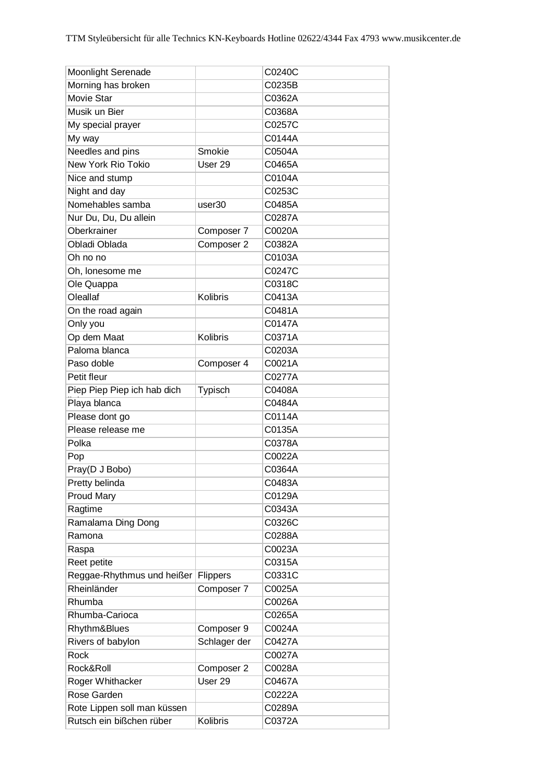| Moonlight Serenade          |                    | C0240C |
|-----------------------------|--------------------|--------|
| Morning has broken          |                    | C0235B |
| Movie Star                  |                    | C0362A |
| Musik un Bier               |                    | C0368A |
| My special prayer           |                    | C0257C |
| My way                      |                    | C0144A |
| Needles and pins            | Smokie             | C0504A |
| New York Rio Tokio          | User <sub>29</sub> | C0465A |
| Nice and stump              |                    | C0104A |
| Night and day               |                    | C0253C |
| Nomehables samba            | user30             | C0485A |
| Nur Du, Du, Du allein       |                    | C0287A |
| Oberkrainer                 | Composer 7         | C0020A |
| Obladi Oblada               | Composer 2         | C0382A |
| Oh no no                    |                    | C0103A |
| Oh, lonesome me             |                    | C0247C |
| Ole Quappa                  |                    | C0318C |
| Oleallaf                    | Kolibris           | C0413A |
| On the road again           |                    | C0481A |
| Only you                    |                    | C0147A |
| Op dem Maat                 | Kolibris           | C0371A |
| Paloma blanca               |                    | C0203A |
| Paso doble                  | Composer 4         | C0021A |
| Petit fleur                 |                    | C0277A |
| Piep Piep Piep ich hab dich | Typisch            | C0408A |
| Playa blanca                |                    | C0484A |
| Please dont go              |                    | C0114A |
| Please release me           |                    | C0135A |
| Polka                       |                    | C0378A |
| Pop                         |                    | C0022A |
| Pray(D J Bobo)              |                    | C0364A |
| Pretty belinda              |                    | C0483A |
| Proud Mary                  |                    | C0129A |
| Ragtime                     |                    | C0343A |
| Ramalama Ding Dong          |                    | C0326C |
| Ramona                      |                    | C0288A |
| Raspa                       |                    | C0023A |
| Reet petite                 |                    | C0315A |
| Reggae-Rhythmus und heißer  | <b>Flippers</b>    | C0331C |
| Rheinländer                 | Composer 7         | C0025A |
| Rhumba                      |                    | C0026A |
| Rhumba-Carioca              |                    | C0265A |
| Rhythm&Blues                | Composer 9         | C0024A |
| Rivers of babylon           | Schlager der       | C0427A |
| Rock                        |                    | C0027A |
| Rock&Roll                   | Composer 2         | C0028A |
| Roger Whithacker            | User 29            | C0467A |
| Rose Garden                 |                    | C0222A |
| Rote Lippen soll man küssen |                    | C0289A |
| Rutsch ein bißchen rüber    | Kolibris           | C0372A |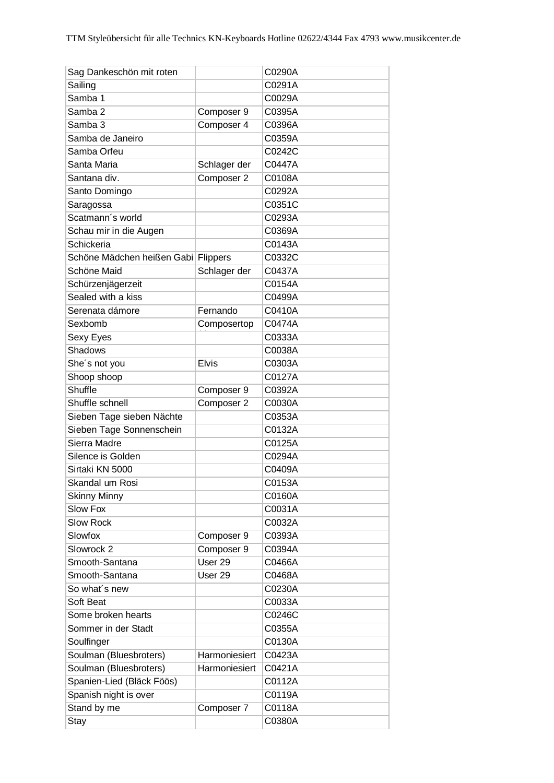| Sag Dankeschön mit roten            |                    | C0290A |
|-------------------------------------|--------------------|--------|
| Sailing                             |                    | C0291A |
| Samba 1                             |                    | C0029A |
| Samba 2                             | Composer 9         | C0395A |
| Samba 3                             | Composer 4         | C0396A |
| Samba de Janeiro                    |                    | C0359A |
| Samba Orfeu                         |                    | C0242C |
| Santa Maria                         | Schlager der       | C0447A |
| Santana div.                        | Composer 2         | C0108A |
| Santo Domingo                       |                    | C0292A |
| Saragossa                           |                    | C0351C |
| Scatmann's world                    |                    | C0293A |
| Schau mir in die Augen              |                    | C0369A |
| Schickeria                          |                    | C0143A |
| Schöne Mädchen heißen Gabi Flippers |                    | C0332C |
| Schöne Maid                         | Schlager der       | C0437A |
| Schürzenjägerzeit                   |                    | C0154A |
| Sealed with a kiss                  |                    | C0499A |
| Serenata dámore                     | Fernando           | C0410A |
| Sexbomb                             | Composertop        | C0474A |
| Sexy Eyes                           |                    | C0333A |
| Shadows                             |                    | C0038A |
|                                     | <b>Elvis</b>       | C0303A |
| She's not you                       |                    | C0127A |
| Shoop shoop<br>Shuffle              |                    |        |
|                                     | Composer 9         | C0392A |
| Shuffle schnell                     | Composer 2         | C0030A |
| Sieben Tage sieben Nächte           |                    | C0353A |
| Sieben Tage Sonnenschein            |                    | C0132A |
| Sierra Madre                        |                    | C0125A |
| Silence is Golden                   |                    | C0294A |
| Sirtaki KN 5000                     |                    | C0409A |
| Skandal um Rosi                     |                    | C0153A |
| <b>Skinny Minny</b>                 |                    | C0160A |
| <b>Slow Fox</b>                     |                    | C0031A |
| <b>Slow Rock</b>                    |                    | C0032A |
| Slowfox                             | Composer 9         | C0393A |
| Slowrock 2                          | Composer 9         | C0394A |
| Smooth-Santana                      | User 29            | C0466A |
| Smooth-Santana                      | User <sub>29</sub> | C0468A |
| So what's new                       |                    | C0230A |
| Soft Beat                           |                    | C0033A |
| Some broken hearts                  |                    | C0246C |
| Sommer in der Stadt                 |                    | C0355A |
| Soulfinger                          |                    | C0130A |
| Soulman (Bluesbroters)              | Harmoniesiert      | C0423A |
| Soulman (Bluesbroters)              | Harmoniesiert      | C0421A |
| Spanien-Lied (Bläck Föös)           |                    | C0112A |
| Spanish night is over               |                    | C0119A |
| Stand by me                         | Composer 7         | C0118A |
| Stay                                |                    | C0380A |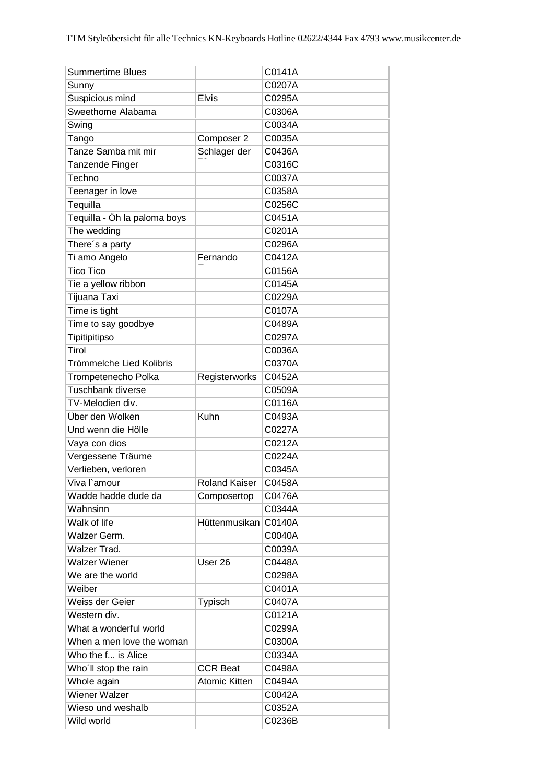| <b>Summertime Blues</b>      |                      | C0141A |
|------------------------------|----------------------|--------|
| Sunny                        |                      | C0207A |
| Suspicious mind              | <b>Elvis</b>         | C0295A |
| Sweethome Alabama            |                      | C0306A |
| Swing                        |                      | C0034A |
| Tango                        | Composer 2           | C0035A |
| Tanze Samba mit mir          | Schlager der         | C0436A |
| Tanzende Finger              |                      | C0316C |
| Techno                       |                      | C0037A |
| Teenager in love             |                      | C0358A |
| Tequilla                     |                      | C0256C |
| Tequilla - Öh la paloma boys |                      | C0451A |
| The wedding                  |                      | C0201A |
| There's a party              |                      | C0296A |
| Ti amo Angelo                | Fernando             | C0412A |
| <b>Tico Tico</b>             |                      | C0156A |
| Tie a yellow ribbon          |                      | C0145A |
| Tijuana Taxi                 |                      | C0229A |
| Time is tight                |                      | C0107A |
| Time to say goodbye          |                      | C0489A |
| Tipitipitipso                |                      | C0297A |
| Tirol                        |                      | C0036A |
| Trömmelche Lied Kolibris     |                      | C0370A |
| Trompetenecho Polka          | Registerworks        | C0452A |
| Tuschbank diverse            |                      | C0509A |
| TV-Melodien div.             |                      | C0116A |
| Über den Wolken              | Kuhn                 | C0493A |
| Und wenn die Hölle           |                      | C0227A |
| Vaya con dios                |                      | C0212A |
| Vergessene Träume            |                      | C0224A |
| Verlieben, verloren          |                      | C0345A |
| Viva l'amour                 | <b>Roland Kaiser</b> | C0458A |
| Wadde hadde dude da          | Composertop          | C0476A |
| Wahnsinn                     |                      | C0344A |
| Walk of life                 | Hüttenmusikan        | C0140A |
| Walzer Germ.                 |                      | C0040A |
| Walzer Trad.                 |                      | C0039A |
| <b>Walzer Wiener</b>         | User 26              | C0448A |
| We are the world             |                      | C0298A |
| Weiber                       |                      | C0401A |
| Weiss der Geier              | Typisch              | C0407A |
| Western div.                 |                      | C0121A |
| What a wonderful world       |                      | C0299A |
| When a men love the woman    |                      | C0300A |
| Who the f is Alice           |                      | C0334A |
| Who'll stop the rain         | <b>CCR Beat</b>      | C0498A |
| Whole again                  | <b>Atomic Kitten</b> | C0494A |
| Wiener Walzer                |                      | C0042A |
| Wieso und weshalb            |                      | C0352A |
| Wild world                   |                      | C0236B |